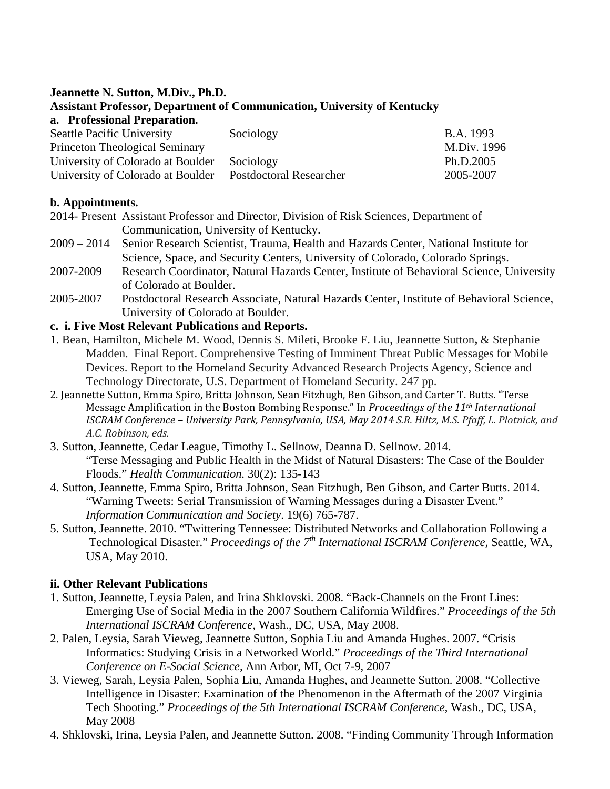#### **Jeannette N. Sutton, M.Div., Ph.D. Assistant Professor, Department of Communication, University of Kentucky a. Professional Preparation.**

| Sociology                      | <b>B.A.</b> 1993 |
|--------------------------------|------------------|
|                                | M.Div. 1996      |
| Sociology                      | Ph.D.2005        |
| <b>Postdoctoral Researcher</b> | 2005-2007        |
|                                |                  |

# **b. Appointments.**

- 2014- Present Assistant Professor and Director, Division of Risk Sciences, Department of Communication, University of Kentucky.
- 2009 2014 Senior Research Scientist, Trauma, Health and Hazards Center, National Institute for Science, Space, and Security Centers, University of Colorado, Colorado Springs.
- 2007-2009 Research Coordinator, Natural Hazards Center, Institute of Behavioral Science, University of Colorado at Boulder.
- 2005-2007 Postdoctoral Research Associate, Natural Hazards Center, Institute of Behavioral Science, University of Colorado at Boulder.

### **c. i. Five Most Relevant Publications and Reports.**

- 1. Bean, Hamilton, Michele M. Wood, Dennis S. Mileti, Brooke F. Liu, Jeannette Sutton**,** & Stephanie Madden. Final Report. Comprehensive Testing of Imminent Threat Public Messages for Mobile Devices. Report to the Homeland Security Advanced Research Projects Agency, Science and Technology Directorate, U.S. Department of Homeland Security. 247 pp.
- 2. Jeannette Sutton**,** Emma Spiro, Britta Johnson, Sean Fitzhugh, Ben Gibson, and Carter T. Butts. "Terse Message Amplification in the Boston Bombing Response." In *Proceedings of the 11th International ISCRAM Conference – University Park, Pennsylvania, USA, May 2014 S.R. Hiltz, M.S. Pfaff, L. Plotnick, and A.C. Robinson, eds.*
- 3. Sutton, Jeannette, Cedar League, Timothy L. Sellnow, Deanna D. Sellnow. 2014. "Terse Messaging and Public Health in the Midst of Natural Disasters: The Case of the Boulder Floods." *Health Communication.* 30(2): 135-143
- 4. Sutton, Jeannette, Emma Spiro, Britta Johnson, Sean Fitzhugh, Ben Gibson, and Carter Butts. 2014. "Warning Tweets: Serial Transmission of Warning Messages during a Disaster Event." *Information Communication and Society*. 19(6) 765-787.
- 5. Sutton, Jeannette. 2010. "Twittering Tennessee: Distributed Networks and Collaboration Following a Technological Disaster." *Proceedings of the 7th International ISCRAM Conference,* Seattle, WA, USA, May 2010.

# **ii. Other Relevant Publications**

- 1. Sutton, Jeannette, Leysia Palen, and Irina Shklovski. 2008. "Back-Channels on the Front Lines: Emerging Use of Social Media in the 2007 Southern California Wildfires." *Proceedings of the 5th International ISCRAM Conference*, Wash., DC, USA, May 2008.
- 2. Palen, Leysia, Sarah Vieweg, Jeannette Sutton, Sophia Liu and Amanda Hughes. 2007. "Crisis Informatics: Studying Crisis in a Networked World." *Proceedings of the Third International Conference on E-Social Science,* Ann Arbor, MI, Oct 7-9, 2007
- 3. Vieweg, Sarah, Leysia Palen, Sophia Liu, Amanda Hughes, and Jeannette Sutton. 2008. "Collective Intelligence in Disaster: Examination of the Phenomenon in the Aftermath of the 2007 Virginia Tech Shooting." *Proceedings of the 5th International ISCRAM Conference*, Wash., DC, USA, May 2008
- 4. Shklovski, Irina, Leysia Palen, and Jeannette Sutton. 2008. "Finding Community Through Information